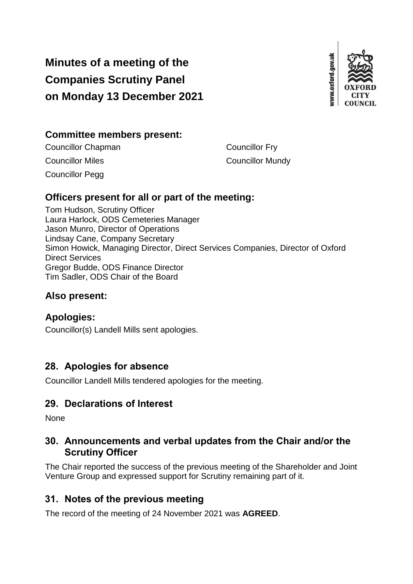# **Minutes of a meeting of the Companies Scrutiny Panel on Monday 13 December 2021**



# **Committee members present:**

Councillor Chapman Councillor Fry **Councillor Miles Councillor Mundy** Councillor Pegg

# **Officers present for all or part of the meeting:**

Tom Hudson, Scrutiny Officer Laura Harlock, ODS Cemeteries Manager Jason Munro, Director of Operations Lindsay Cane, Company Secretary Simon Howick, Managing Director, Direct Services Companies, Director of Oxford Direct Services Gregor Budde, ODS Finance Director Tim Sadler, ODS Chair of the Board

# **Also present:**

### **Apologies:**

Councillor(s) Landell Mills sent apologies.

# **28. Apologies for absence**

Councillor Landell Mills tendered apologies for the meeting.

# **29. Declarations of Interest**

None

# **30. Announcements and verbal updates from the Chair and/or the Scrutiny Officer**

The Chair reported the success of the previous meeting of the Shareholder and Joint Venture Group and expressed support for Scrutiny remaining part of it.

# **31. Notes of the previous meeting**

The record of the meeting of 24 November 2021 was **AGREED**.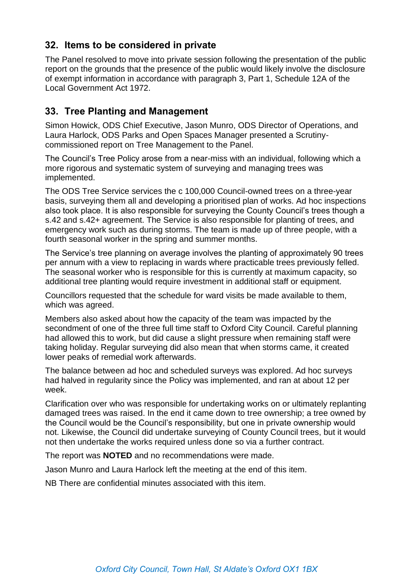# **32. Items to be considered in private**

The Panel resolved to move into private session following the presentation of the public report on the grounds that the presence of the public would likely involve the disclosure of exempt information in accordance with paragraph 3, Part 1, Schedule 12A of the Local Government Act 1972.

# **33. Tree Planting and Management**

Simon Howick, ODS Chief Executive, Jason Munro, ODS Director of Operations, and Laura Harlock, ODS Parks and Open Spaces Manager presented a Scrutinycommissioned report on Tree Management to the Panel.

The Council's Tree Policy arose from a near-miss with an individual, following which a more rigorous and systematic system of surveying and managing trees was implemented.

The ODS Tree Service services the c 100,000 Council-owned trees on a three-year basis, surveying them all and developing a prioritised plan of works. Ad hoc inspections also took place. It is also responsible for surveying the County Council's trees though a s.42 and s.42+ agreement. The Service is also responsible for planting of trees, and emergency work such as during storms. The team is made up of three people, with a fourth seasonal worker in the spring and summer months.

The Service's tree planning on average involves the planting of approximately 90 trees per annum with a view to replacing in wards where practicable trees previously felled. The seasonal worker who is responsible for this is currently at maximum capacity, so additional tree planting would require investment in additional staff or equipment.

Councillors requested that the schedule for ward visits be made available to them, which was agreed.

Members also asked about how the capacity of the team was impacted by the secondment of one of the three full time staff to Oxford City Council. Careful planning had allowed this to work, but did cause a slight pressure when remaining staff were taking holiday. Regular surveying did also mean that when storms came, it created lower peaks of remedial work afterwards.

The balance between ad hoc and scheduled surveys was explored. Ad hoc surveys had halved in regularity since the Policy was implemented, and ran at about 12 per week.

Clarification over who was responsible for undertaking works on or ultimately replanting damaged trees was raised. In the end it came down to tree ownership; a tree owned by the Council would be the Council's responsibility, but one in private ownership would not. Likewise, the Council did undertake surveying of County Council trees, but it would not then undertake the works required unless done so via a further contract.

The report was **NOTED** and no recommendations were made.

Jason Munro and Laura Harlock left the meeting at the end of this item.

NB There are confidential minutes associated with this item.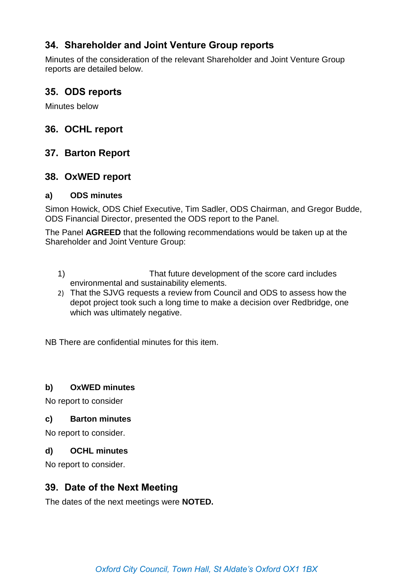# **34. Shareholder and Joint Venture Group reports**

Minutes of the consideration of the relevant Shareholder and Joint Venture Group reports are detailed below.

### **35. ODS reports**

Minutes below

# **36. OCHL report**

# **37. Barton Report**

# **38. OxWED report**

#### **a) ODS minutes**

Simon Howick, ODS Chief Executive, Tim Sadler, ODS Chairman, and Gregor Budde, ODS Financial Director, presented the ODS report to the Panel.

The Panel **AGREED** that the following recommendations would be taken up at the Shareholder and Joint Venture Group:

- 1) That future development of the score card includes environmental and sustainability elements.
- 2) That the SJVG requests a review from Council and ODS to assess how the depot project took such a long time to make a decision over Redbridge, one which was ultimately negative.

NB There are confidential minutes for this item.

#### **b) OxWED minutes**

No report to consider

#### **c) Barton minutes**

No report to consider.

#### **d) OCHL minutes**

No report to consider.

### **39. Date of the Next Meeting**

The dates of the next meetings were **NOTED.**